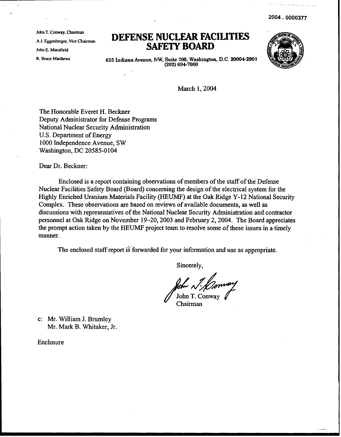2004.0000377

John T. Conway, Chairman A.J. Eggenberger. Vice Chairman John E. Mansfield R. Bruce Matthews

## **DEFENSE NUCLFAR FACILITIES SAFETY BOARD**



625 Indiana Avenue, NW, Suite 700, Washington, D.C. 20004-2901 (202) 694-7000

March 1, 2004

The Honorable Everet H. Beckner Deputy Administrator for Defense Programs National Nuclear Security Administration U.S. Department of Energy 1000 Independence Avenue, SW Washington, DC 20585-0104

Dear Dr. Beckner:

Enclosed is a report containing observations of members of the staff of the Defense Nuclear Facilities Safety Board (Board) concerning the design of the electrical system for the Highly Enriched Uranium Materials Facility (HEUMF) at the Oak Ridge Y-12 National Security Complex. These observations are based on reviews of available documents, as well as discussions with representatives of the National Nuclear Security Administration and contractor personnel at Oak Ridge on November 19-20,2003 and February 2,2004. The Board appreciates the prompt action taken by the HEUMF project team to resolve some of these issues in a timely manner.

The enclosed staff report is forwarded for your information and use as appropriate.

Sincerely,

John T. Conway Chairman

c: Mr. William J. Brumley Mr. Mark B. Whitaker, Jr.

Enclosure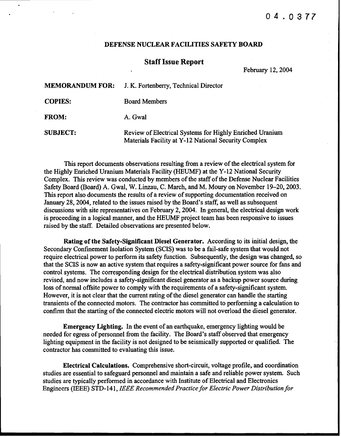## 04.0377

## DEFENSE NUCLEAR FACILITIES SAFETY BOARD

## **Staff Issue Report**

February 12,2004

| <b>MEMORANDUM FOR:</b> | J. K. Fortenberry, Technical Director                                                                            |
|------------------------|------------------------------------------------------------------------------------------------------------------|
| <b>COPIES:</b>         | <b>Board Members</b>                                                                                             |
| <b>FROM:</b>           | A. Gwal                                                                                                          |
| <b>SUBJECT:</b>        | Review of Electrical Systems for Highly Enriched Uranium<br>Materials Facility at Y-12 National Security Complex |

This report documents observations resulting from a review of the electrical system for the Highly Enriched Uranium Materials Facility (HEUMF) at the Y-12 National Security Complex. This review was conducted by members of the staff of the Defense Nuclear Facilities Safety Board (Board) A. Gwal, W. Linzau, C. March, and M. Moury on November 19–20, 2003. This report also documents the results of a review of supporting documentation received on January 28,2004, related to the issues raised by the Board's staff, as well as subsequent discussions with site representatives on February 2,2004. In general, the electrical design work is proceeding in a logical manner, and the HEUMF project team has been responsive to issues raised by the staff. Detailed observations are presented below.

Rating of the Safety-Significant Diesel Generator. According to its initial design, the Secondary Confinement Isolation System (SCIS) was to be a fail-safe system that would not require electrical power to perform its safety function. Subsequently, the design was changed, so that the SCIS is now an active system that requires a safety-significant power source for fans and control systems. The corresponding design for the electrical distribution system was also revised, and now includes a safety-significant diesel generator as a backup power source during loss of normal offsite power to comply with the requirements of a safety-significant system. However, it is not clear that the current rating of the diesel generator can handle the starting transients of the connected motors. The contractor has committed to performing a calculation to confirm that the starting of the connected electric motors will not overload the diesel generator.

Emergency Lighting. In the event of an earthquake, emergency lighting would be needed for egress of personnel from the facility. The Board's staff observed that emergency lighting equipment in the facility is not designed to be seismically supported or qualified. The contractor has committed to evaluating this issue.

Electrical Calculations. Comprehensive short-circuit, voltage profile, and coordination studies are essential to safeguard personnel and maintain a safe and reliable power system. Such studies are typically performed in accordance with Institute of Electrical and Electronics Engineers (IEEE) STD-141, *IEEE Recommended Practice/or Electric Power Distribution/or*